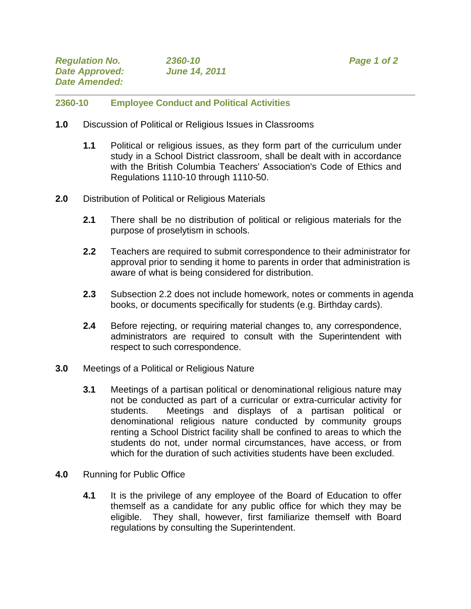## **2360-10 Employee Conduct and Political Activities**

- **1.0** Discussion of Political or Religious Issues in Classrooms
	- **1.1** Political or religious issues, as they form part of the curriculum under study in a School District classroom, shall be dealt with in accordance with the British Columbia Teachers' Association's Code of Ethics and Regulations 1110-10 through 1110-50.
- **2.0** Distribution of Political or Religious Materials
	- **2.1** There shall be no distribution of political or religious materials for the purpose of proselytism in schools.
	- **2.2** Teachers are required to submit correspondence to their administrator for approval prior to sending it home to parents in order that administration is aware of what is being considered for distribution.
	- **2.3** Subsection 2.2 does not include homework, notes or comments in agenda books, or documents specifically for students (e.g. Birthday cards).
	- **2.4** Before rejecting, or requiring material changes to, any correspondence, administrators are required to consult with the Superintendent with respect to such correspondence.
- **3.0** Meetings of a Political or Religious Nature
	- **3.1** Meetings of a partisan political or denominational religious nature may not be conducted as part of a curricular or extra-curricular activity for students. Meetings and displays of a partisan political or denominational religious nature conducted by community groups renting a School District facility shall be confined to areas to which the students do not, under normal circumstances, have access, or from which for the duration of such activities students have been excluded.
- **4.0** Running for Public Office
	- **4.1** It is the privilege of any employee of the Board of Education to offer themself as a candidate for any public office for which they may be eligible. They shall, however, first familiarize themself with Board regulations by consulting the Superintendent.